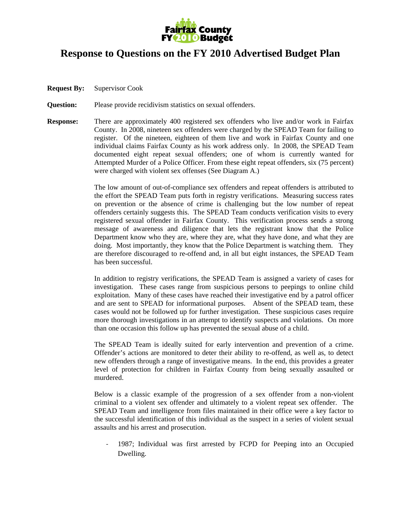

## **Response to Questions on the FY 2010 Advertised Budget Plan**

- **Request By:** Supervisor Cook
- **Question:** Please provide recidivism statistics on sexual offenders.
- **Response:** There are approximately 400 registered sex offenders who live and/or work in Fairfax County. In 2008, nineteen sex offenders were charged by the SPEAD Team for failing to register. Of the nineteen, eighteen of them live and work in Fairfax County and one individual claims Fairfax County as his work address only. In 2008, the SPEAD Team documented eight repeat sexual offenders; one of whom is currently wanted for Attempted Murder of a Police Officer. From these eight repeat offenders, six (75 percent) were charged with violent sex offenses (See Diagram A.)

The low amount of out-of-compliance sex offenders and repeat offenders is attributed to the effort the SPEAD Team puts forth in registry verifications. Measuring success rates on prevention or the absence of crime is challenging but the low number of repeat offenders certainly suggests this. The SPEAD Team conducts verification visits to every registered sexual offender in Fairfax County. This verification process sends a strong message of awareness and diligence that lets the registrant know that the Police Department know who they are, where they are, what they have done, and what they are doing. Most importantly, they know that the Police Department is watching them. They are therefore discouraged to re-offend and, in all but eight instances, the SPEAD Team has been successful.

In addition to registry verifications, the SPEAD Team is assigned a variety of cases for investigation. These cases range from suspicious persons to peepings to online child exploitation. Many of these cases have reached their investigative end by a patrol officer and are sent to SPEAD for informational purposes. Absent of the SPEAD team, these cases would not be followed up for further investigation. These suspicious cases require more thorough investigations in an attempt to identify suspects and violations. On more than one occasion this follow up has prevented the sexual abuse of a child.

The SPEAD Team is ideally suited for early intervention and prevention of a crime. Offender's actions are monitored to deter their ability to re-offend, as well as, to detect new offenders through a range of investigative means. In the end, this provides a greater level of protection for children in Fairfax County from being sexually assaulted or murdered.

Below is a classic example of the progression of a sex offender from a non-violent criminal to a violent sex offender and ultimately to a violent repeat sex offender. The SPEAD Team and intelligence from files maintained in their office were a key factor to the successful identification of this individual as the suspect in a series of violent sexual assaults and his arrest and prosecution.

‐ 1987; Individual was first arrested by FCPD for Peeping into an Occupied Dwelling.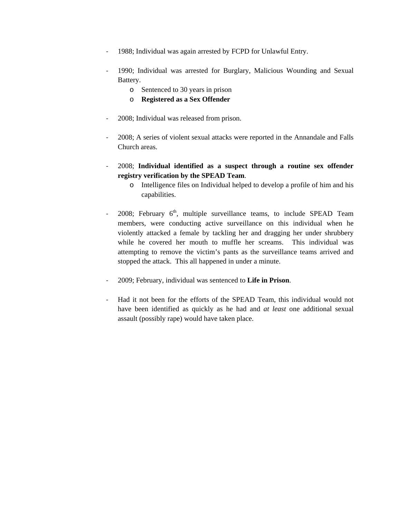- 1988; Individual was again arrested by FCPD for Unlawful Entry.
- ‐ 1990; Individual was arrested for Burglary, Malicious Wounding and Sexual Battery.
	- o Sentenced to 30 years in prison
	- o **Registered as a Sex Offender**
- ‐ 2008; Individual was released from prison.
- ‐ 2008; A series of violent sexual attacks were reported in the Annandale and Falls Church areas.
- ‐ 2008; **Individual identified as a suspect through a routine sex offender registry verification by the SPEAD Team**.
	- o Intelligence files on Individual helped to develop a profile of him and his capabilities.
- 2008; February  $6<sup>th</sup>$ , multiple surveillance teams, to include SPEAD Team members, were conducting active surveillance on this individual when he violently attacked a female by tackling her and dragging her under shrubbery while he covered her mouth to muffle her screams. This individual was attempting to remove the victim's pants as the surveillance teams arrived and stopped the attack. This all happened in under a minute.
- ‐ 2009; February, individual was sentenced to **Life in Prison**.
- ‐ Had it not been for the efforts of the SPEAD Team, this individual would not have been identified as quickly as he had and *at least* one additional sexual assault (possibly rape) would have taken place.